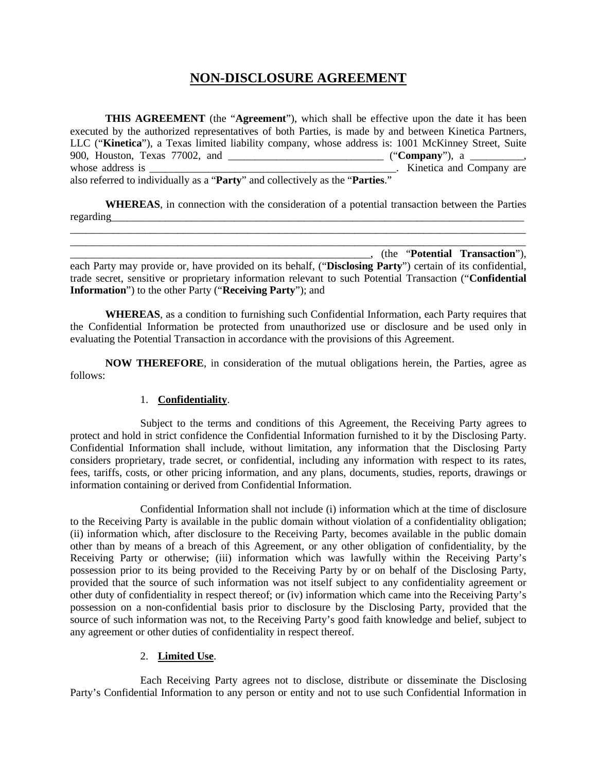# **NON-DISCLOSURE AGREEMENT**

**THIS AGREEMENT** (the "**Agreement**"), which shall be effective upon the date it has been executed by the authorized representatives of both Parties, is made by and between Kinetica Partners, LLC ("**Kinetica**"), a Texas limited liability company, whose address is: 1001 McKinney Street, Suite 900, Houston, Texas 77002, and \_\_\_\_\_\_\_\_\_\_\_\_\_\_\_\_\_\_\_\_\_\_\_\_\_\_\_\_\_ ("**Company**"), a \_\_\_\_\_\_\_\_\_\_, whose address is \_\_\_\_\_\_\_\_\_\_\_\_\_\_\_\_\_\_\_\_\_\_\_\_\_\_\_\_\_\_\_\_\_\_\_\_\_\_\_\_\_\_\_\_\_\_. Kinetica and Company are also referred to individually as a "**Party**" and collectively as the "**Parties**."

**WHEREAS**, in connection with the consideration of a potential transaction between the Parties regarding \_\_\_\_\_\_\_\_\_\_\_\_\_\_\_\_\_\_\_\_\_\_\_\_\_\_\_\_\_\_\_\_\_\_\_\_\_\_\_\_\_\_\_\_\_\_\_\_\_\_\_\_\_\_\_\_\_\_\_\_\_\_\_\_\_\_\_\_\_\_\_\_\_\_\_\_\_\_\_\_\_\_\_\_\_

\_\_\_\_\_\_\_\_\_\_\_\_\_\_\_\_\_\_\_\_\_\_\_\_\_\_\_\_\_\_\_\_\_\_\_\_\_\_\_\_\_\_\_\_\_\_\_\_\_\_\_\_\_\_\_\_\_\_\_\_\_\_\_\_\_\_\_\_\_\_\_\_\_\_\_\_\_\_\_\_\_\_\_\_\_

\_\_\_\_\_\_\_\_\_\_\_\_\_\_\_\_\_\_\_\_\_\_\_\_\_\_\_\_\_\_\_\_\_\_\_\_\_\_\_\_\_\_\_\_\_\_\_\_\_\_\_\_\_\_\_\_, (the "**Potential Transaction**"), each Party may provide or, have provided on its behalf, ("**Disclosing Party**") certain of its confidential, trade secret, sensitive or proprietary information relevant to such Potential Transaction ("**Confidential Information**") to the other Party ("**Receiving Party**"); and

**WHEREAS**, as a condition to furnishing such Confidential Information, each Party requires that the Confidential Information be protected from unauthorized use or disclosure and be used only in evaluating the Potential Transaction in accordance with the provisions of this Agreement.

**NOW THEREFORE**, in consideration of the mutual obligations herein, the Parties, agree as follows:

#### 1. **Confidentiality**.

Subject to the terms and conditions of this Agreement, the Receiving Party agrees to protect and hold in strict confidence the Confidential Information furnished to it by the Disclosing Party. Confidential Information shall include, without limitation, any information that the Disclosing Party considers proprietary, trade secret, or confidential, including any information with respect to its rates, fees, tariffs, costs, or other pricing information, and any plans, documents, studies, reports, drawings or information containing or derived from Confidential Information.

Confidential Information shall not include (i) information which at the time of disclosure to the Receiving Party is available in the public domain without violation of a confidentiality obligation; (ii) information which, after disclosure to the Receiving Party, becomes available in the public domain other than by means of a breach of this Agreement, or any other obligation of confidentiality, by the Receiving Party or otherwise; (iii) information which was lawfully within the Receiving Party's possession prior to its being provided to the Receiving Party by or on behalf of the Disclosing Party, provided that the source of such information was not itself subject to any confidentiality agreement or other duty of confidentiality in respect thereof; or (iv) information which came into the Receiving Party's possession on a non-confidential basis prior to disclosure by the Disclosing Party, provided that the source of such information was not, to the Receiving Party's good faith knowledge and belief, subject to any agreement or other duties of confidentiality in respect thereof.

## 2. **Limited Use**.

Each Receiving Party agrees not to disclose, distribute or disseminate the Disclosing Party's Confidential Information to any person or entity and not to use such Confidential Information in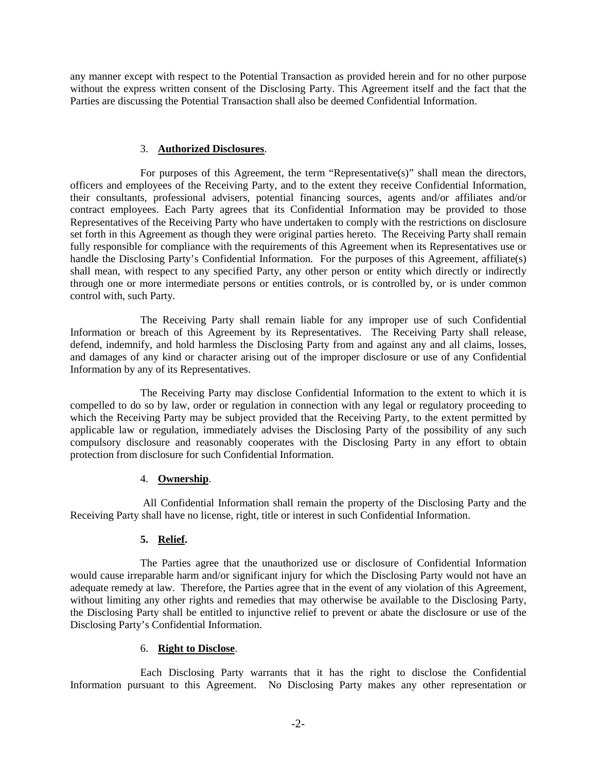any manner except with respect to the Potential Transaction as provided herein and for no other purpose without the express written consent of the Disclosing Party. This Agreement itself and the fact that the Parties are discussing the Potential Transaction shall also be deemed Confidential Information.

#### 3. **Authorized Disclosures**.

For purposes of this Agreement, the term "Representative(s)" shall mean the directors, officers and employees of the Receiving Party, and to the extent they receive Confidential Information, their consultants, professional advisers, potential financing sources, agents and/or affiliates and/or contract employees. Each Party agrees that its Confidential Information may be provided to those Representatives of the Receiving Party who have undertaken to comply with the restrictions on disclosure set forth in this Agreement as though they were original parties hereto. The Receiving Party shall remain fully responsible for compliance with the requirements of this Agreement when its Representatives use or handle the Disclosing Party's Confidential Information. For the purposes of this Agreement, affiliate(s) shall mean, with respect to any specified Party, any other person or entity which directly or indirectly through one or more intermediate persons or entities controls, or is controlled by, or is under common control with, such Party.

The Receiving Party shall remain liable for any improper use of such Confidential Information or breach of this Agreement by its Representatives. The Receiving Party shall release, defend, indemnify, and hold harmless the Disclosing Party from and against any and all claims, losses, and damages of any kind or character arising out of the improper disclosure or use of any Confidential Information by any of its Representatives.

The Receiving Party may disclose Confidential Information to the extent to which it is compelled to do so by law, order or regulation in connection with any legal or regulatory proceeding to which the Receiving Party may be subject provided that the Receiving Party, to the extent permitted by applicable law or regulation, immediately advises the Disclosing Party of the possibility of any such compulsory disclosure and reasonably cooperates with the Disclosing Party in any effort to obtain protection from disclosure for such Confidential Information.

#### 4. **Ownership**.

All Confidential Information shall remain the property of the Disclosing Party and the Receiving Party shall have no license, right, title or interest in such Confidential Information.

#### **5. Relief.**

The Parties agree that the unauthorized use or disclosure of Confidential Information would cause irreparable harm and/or significant injury for which the Disclosing Party would not have an adequate remedy at law. Therefore, the Parties agree that in the event of any violation of this Agreement, without limiting any other rights and remedies that may otherwise be available to the Disclosing Party, the Disclosing Party shall be entitled to injunctive relief to prevent or abate the disclosure or use of the Disclosing Party's Confidential Information.

#### 6. **Right to Disclose**.

Each Disclosing Party warrants that it has the right to disclose the Confidential Information pursuant to this Agreement. No Disclosing Party makes any other representation or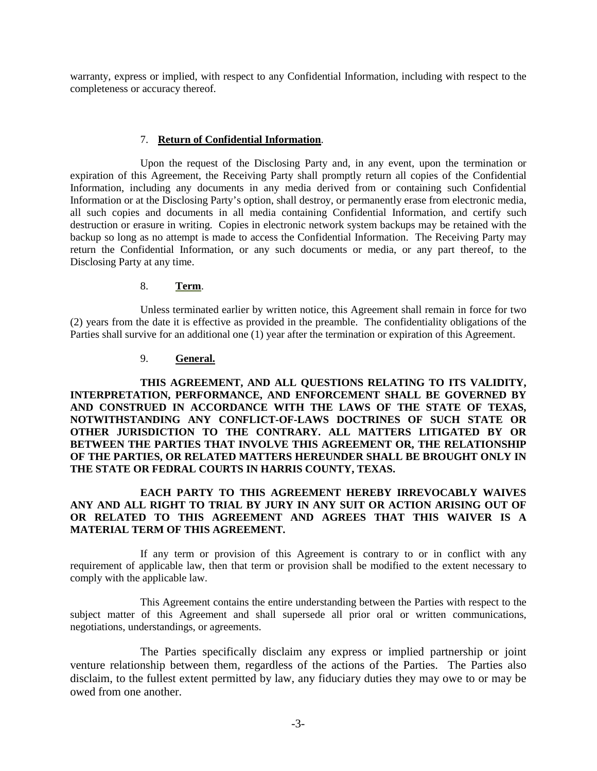warranty, express or implied, with respect to any Confidential Information, including with respect to the completeness or accuracy thereof.

#### 7. **Return of Confidential Information**.

Upon the request of the Disclosing Party and, in any event, upon the termination or expiration of this Agreement, the Receiving Party shall promptly return all copies of the Confidential Information, including any documents in any media derived from or containing such Confidential Information or at the Disclosing Party's option, shall destroy, or permanently erase from electronic media, all such copies and documents in all media containing Confidential Information, and certify such destruction or erasure in writing. Copies in electronic network system backups may be retained with the backup so long as no attempt is made to access the Confidential Information. The Receiving Party may return the Confidential Information, or any such documents or media, or any part thereof, to the Disclosing Party at any time.

#### 8. **Term**.

Unless terminated earlier by written notice, this Agreement shall remain in force for two (2) years from the date it is effective as provided in the preamble. The confidentiality obligations of the Parties shall survive for an additional one (1) year after the termination or expiration of this Agreement.

#### 9. **General.**

**THIS AGREEMENT, AND ALL QUESTIONS RELATING TO ITS VALIDITY, INTERPRETATION, PERFORMANCE, AND ENFORCEMENT SHALL BE GOVERNED BY AND CONSTRUED IN ACCORDANCE WITH THE LAWS OF THE STATE OF TEXAS, NOTWITHSTANDING ANY CONFLICT-OF-LAWS DOCTRINES OF SUCH STATE OR OTHER JURISDICTION TO THE CONTRARY. ALL MATTERS LITIGATED BY OR BETWEEN THE PARTIES THAT INVOLVE THIS AGREEMENT OR, THE RELATIONSHIP OF THE PARTIES, OR RELATED MATTERS HEREUNDER SHALL BE BROUGHT ONLY IN THE STATE OR FEDRAL COURTS IN HARRIS COUNTY, TEXAS.**

### **EACH PARTY TO THIS AGREEMENT HEREBY IRREVOCABLY WAIVES ANY AND ALL RIGHT TO TRIAL BY JURY IN ANY SUIT OR ACTION ARISING OUT OF OR RELATED TO THIS AGREEMENT AND AGREES THAT THIS WAIVER IS A MATERIAL TERM OF THIS AGREEMENT.**

If any term or provision of this Agreement is contrary to or in conflict with any requirement of applicable law, then that term or provision shall be modified to the extent necessary to comply with the applicable law.

This Agreement contains the entire understanding between the Parties with respect to the subject matter of this Agreement and shall supersede all prior oral or written communications, negotiations, understandings, or agreements.

The Parties specifically disclaim any express or implied partnership or joint venture relationship between them, regardless of the actions of the Parties. The Parties also disclaim, to the fullest extent permitted by law, any fiduciary duties they may owe to or may be owed from one another.